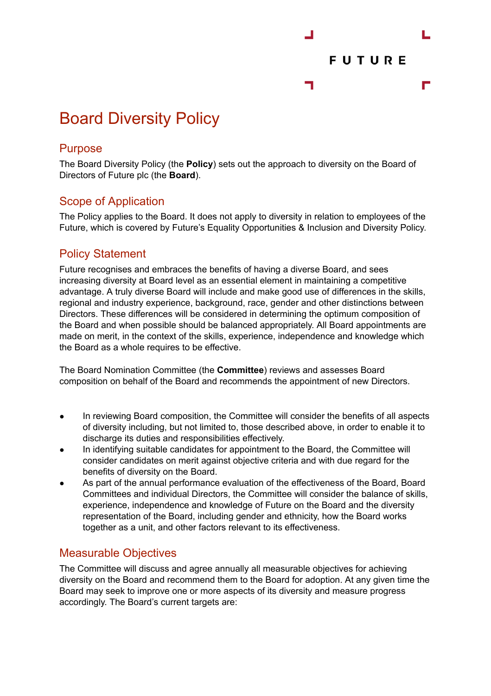

# Board Diversity Policy

### Purpose

The Board Diversity Policy (the **Policy**) sets out the approach to diversity on the Board of Directors of Future plc (the **Board**).

# Scope of Application

The Policy applies to the Board. It does not apply to diversity in relation to employees of the Future, which is covered by Future's Equality Opportunities & Inclusion and Diversity Policy.

# Policy Statement

Future recognises and embraces the benefits of having a diverse Board, and sees increasing diversity at Board level as an essential element in maintaining a competitive advantage. A truly diverse Board will include and make good use of differences in the skills, regional and industry experience, background, race, gender and other distinctions between Directors. These differences will be considered in determining the optimum composition of the Board and when possible should be balanced appropriately. All Board appointments are made on merit, in the context of the skills, experience, independence and knowledge which the Board as a whole requires to be effective.

The Board Nomination Committee (the **Committee**) reviews and assesses Board composition on behalf of the Board and recommends the appointment of new Directors.

- In reviewing Board composition, the Committee will consider the benefits of all aspects of diversity including, but not limited to, those described above, in order to enable it to discharge its duties and responsibilities effectively.
- In identifying suitable candidates for appointment to the Board, the Committee will consider candidates on merit against objective criteria and with due regard for the benefits of diversity on the Board.
- As part of the annual performance evaluation of the effectiveness of the Board, Board Committees and individual Directors, the Committee will consider the balance of skills, experience, independence and knowledge of Future on the Board and the diversity representation of the Board, including gender and ethnicity, how the Board works together as a unit, and other factors relevant to its effectiveness.

# Measurable Objectives

The Committee will discuss and agree annually all measurable objectives for achieving diversity on the Board and recommend them to the Board for adoption. At any given time the Board may seek to improve one or more aspects of its diversity and measure progress accordingly. The Board's current targets are: